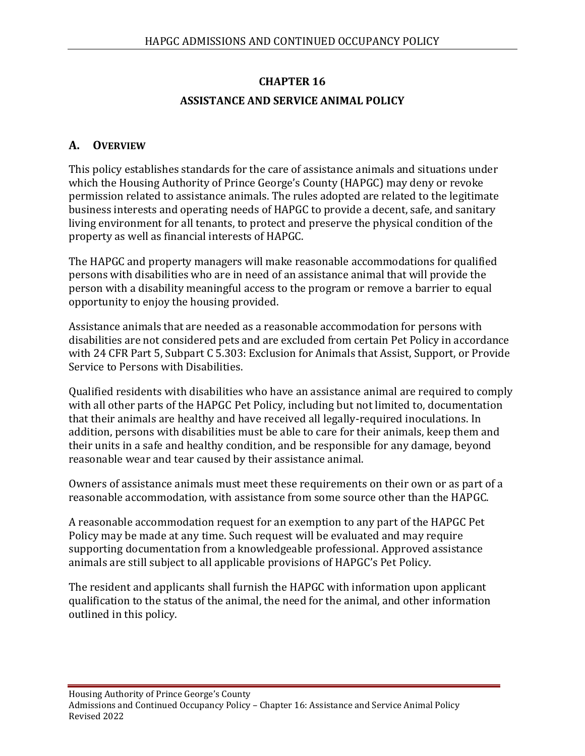# **CHAPTER 16 ASSISTANCE AND SERVICE ANIMAL POLICY**

## **A. OVERVIEW**

This policy establishes standards for the care of assistance animals and situations under which the Housing Authority of Prince George's County (HAPGC) may deny or revoke permission related to assistance animals. The rules adopted are related to the legitimate business interests and operating needs of HAPGC to provide a decent, safe, and sanitary living environment for all tenants, to protect and preserve the physical condition of the property as well as financial interests of HAPGC.

The HAPGC and property managers will make reasonable accommodations for qualified persons with disabilities who are in need of an assistance animal that will provide the person with a disability meaningful access to the program or remove a barrier to equal opportunity to enjoy the housing provided.

Assistance animals that are needed as a reasonable accommodation for persons with disabilities are not considered pets and are excluded from certain Pet Policy in accordance with 24 CFR Part 5, Subpart C 5.303: Exclusion for Animals that Assist, Support, or Provide Service to Persons with Disabilities.

Qualified residents with disabilities who have an assistance animal are required to comply with all other parts of the HAPGC Pet Policy, including but not limited to, documentation that their animals are healthy and have received all legally-required inoculations. In addition, persons with disabilities must be able to care for their animals, keep them and their units in a safe and healthy condition, and be responsible for any damage, beyond reasonable wear and tear caused by their assistance animal.

Owners of assistance animals must meet these requirements on their own or as part of a reasonable accommodation, with assistance from some source other than the HAPGC.

A reasonable accommodation request for an exemption to any part of the HAPGC Pet Policy may be made at any time. Such request will be evaluated and may require supporting documentation from a knowledgeable professional. Approved assistance animals are still subject to all applicable provisions of HAPGC's Pet Policy.

The resident and applicants shall furnish the HAPGC with information upon applicant qualification to the status of the animal, the need for the animal, and other information outlined in this policy.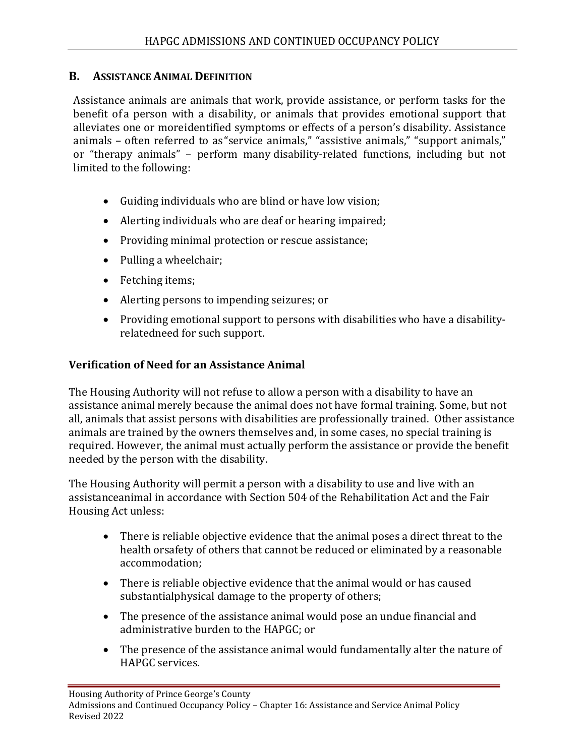#### **B. ASSISTANCE ANIMAL DEFINITION**

Assistance animals are animals that work, provide assistance, or perform tasks for the benefit of a person with a disability, or animals that provides emotional support that alleviates one or moreidentified symptoms or effects of a person's disability. Assistance animals – often referred to as "service animals," "assistive animals," "support animals," or "therapy animals" – perform many disability-related functions, including but not limited to the following:

- Guiding individuals who are blind or have low vision;
- Alerting individuals who are deaf or hearing impaired;
- Providing minimal protection or rescue assistance;
- Pulling a wheelchair;
- Fetching items;
- Alerting persons to impending seizures; or
- Providing emotional support to persons with disabilities who have a disabilityrelatedneed for such support.

#### **Verification of Need for an Assistance Animal**

The Housing Authority will not refuse to allow a person with a disability to have an assistance animal merely because the animal does not have formal training. Some, but not all, animals that assist persons with disabilities are professionally trained. Other assistance animals are trained by the owners themselves and, in some cases, no special training is required. However, the animal must actually perform the assistance or provide the benefit needed by the person with the disability.

The Housing Authority will permit a person with a disability to use and live with an assistanceanimal in accordance with Section 504 of the Rehabilitation Act and the Fair Housing Act unless:

- There is reliable objective evidence that the animal poses a direct threat to the health orsafety of others that cannot be reduced or eliminated by a reasonable accommodation;
- There is reliable objective evidence that the animal would or has caused substantialphysical damage to the property of others;
- The presence of the assistance animal would pose an undue financial and administrative burden to the HAPGC; or
- The presence of the assistance animal would fundamentally alter the nature of HAPGC services.

Housing Authority of Prince George's County

Admissions and Continued Occupancy Policy – Chapter 16: Assistance and Service Animal Policy Revised 2022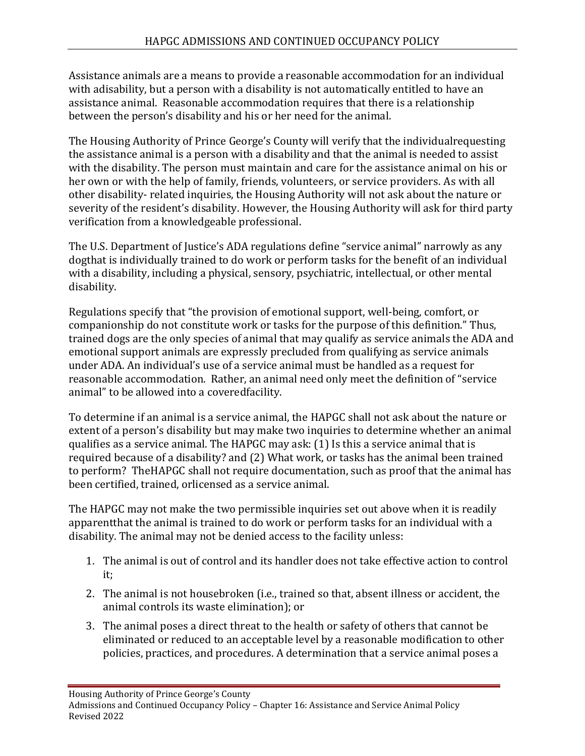Assistance animals are a means to provide a reasonable accommodation for an individual with adisability, but a person with a disability is not automatically entitled to have an assistance animal. Reasonable accommodation requires that there is a relationship between the person's disability and his or her need for the animal.

The Housing Authority of Prince George's County will verify that the individualrequesting the assistance animal is a person with a disability and that the animal is needed to assist with the disability. The person must maintain and care for the assistance animal on his or her own or with the help of family, friends, volunteers, or service providers. As with all other disability- related inquiries, the Housing Authority will not ask about the nature or severity of the resident's disability. However, the Housing Authority will ask for third party verification from a knowledgeable professional.

The U.S. Department of Justice's ADA regulations define "service animal" narrowly as any dogthat is individually trained to do work or perform tasks for the benefit of an individual with a disability, including a physical, sensory, psychiatric, intellectual, or other mental disability.

Regulations specify that "the provision of emotional support, well-being, comfort, or companionship do not constitute work or tasks for the purpose of this definition." Thus, trained dogs are the only species of animal that may qualify as service animals the ADA and emotional support animals are expressly precluded from qualifying as service animals under ADA. An individual's use of a service animal must be handled as a request for reasonable accommodation. Rather, an animal need only meet the definition of "service animal" to be allowed into a coveredfacility.

To determine if an animal is a service animal, the HAPGC shall not ask about the nature or extent of a person's disability but may make two inquiries to determine whether an animal qualifies as a service animal. The HAPGC may ask: (1) Is this a service animal that is required because of a disability? and (2) What work, or tasks has the animal been trained to perform? TheHAPGC shall not require documentation, such as proof that the animal has been certified, trained, orlicensed as a service animal.

The HAPGC may not make the two permissible inquiries set out above when it is readily apparentthat the animal is trained to do work or perform tasks for an individual with a disability. The animal may not be denied access to the facility unless:

- 1. The animal is out of control and its handler does not take effective action to control it;
- 2. The animal is not housebroken (i.e., trained so that, absent illness or accident, the animal controls its waste elimination); or
- 3. The animal poses a direct threat to the health or safety of others that cannot be eliminated or reduced to an acceptable level by a reasonable modification to other policies, practices, and procedures. A determination that a service animal poses a

Housing Authority of Prince George's County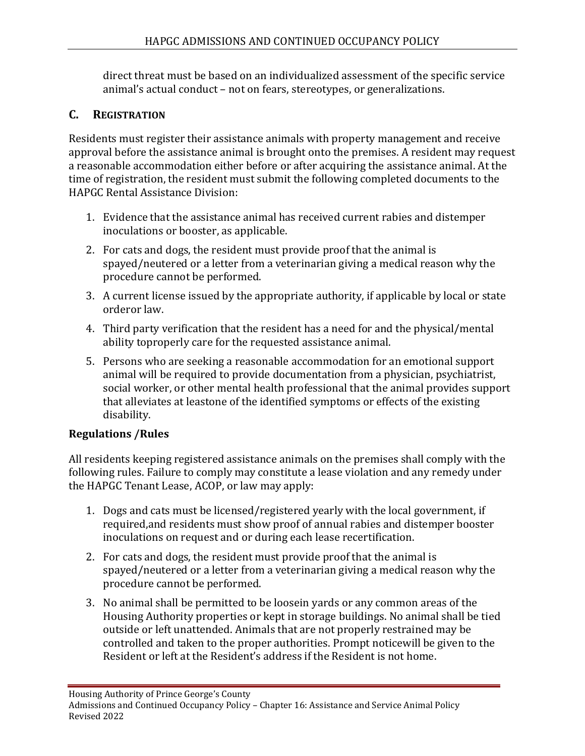direct threat must be based on an individualized assessment of the specific service animal's actual conduct – not on fears, stereotypes, or generalizations.

### **C. REGISTRATION**

Residents must register their assistance animals with property management and receive approval before the assistance animal is brought onto the premises. A resident may request a reasonable accommodation either before or after acquiring the assistance animal. At the time of registration, the resident must submit the following completed documents to the HAPGC Rental Assistance Division:

- 1. Evidence that the assistance animal has received current rabies and distemper inoculations or booster, as applicable.
- 2. For cats and dogs, the resident must provide proof that the animal is spayed/neutered or a letter from a veterinarian giving a medical reason why the procedure cannot be performed.
- 3. A current license issued by the appropriate authority, if applicable by local or state orderor law.
- 4. Third party verification that the resident has a need for and the physical/mental ability toproperly care for the requested assistance animal.
- 5. Persons who are seeking a reasonable accommodation for an emotional support animal will be required to provide documentation from a physician, psychiatrist, social worker, or other mental health professional that the animal provides support that alleviates at leastone of the identified symptoms or effects of the existing disability.

### **Regulations /Rules**

All residents keeping registered assistance animals on the premises shall comply with the following rules. Failure to comply may constitute a lease violation and any remedy under the HAPGC Tenant Lease, ACOP, or law may apply:

- 1. Dogs and cats must be licensed/registered yearly with the local government, if required,and residents must show proof of annual rabies and distemper booster inoculations on request and or during each lease recertification.
- 2. For cats and dogs, the resident must provide proof that the animal is spayed/neutered or a letter from a veterinarian giving a medical reason why the procedure cannot be performed.
- 3. No animal shall be permitted to be loosein yards or any common areas of the Housing Authority properties or kept in storage buildings. No animal shall be tied outside or left unattended. Animals that are not properly restrained may be controlled and taken to the proper authorities. Prompt noticewill be given to the Resident or left at the Resident's address if the Resident is not home.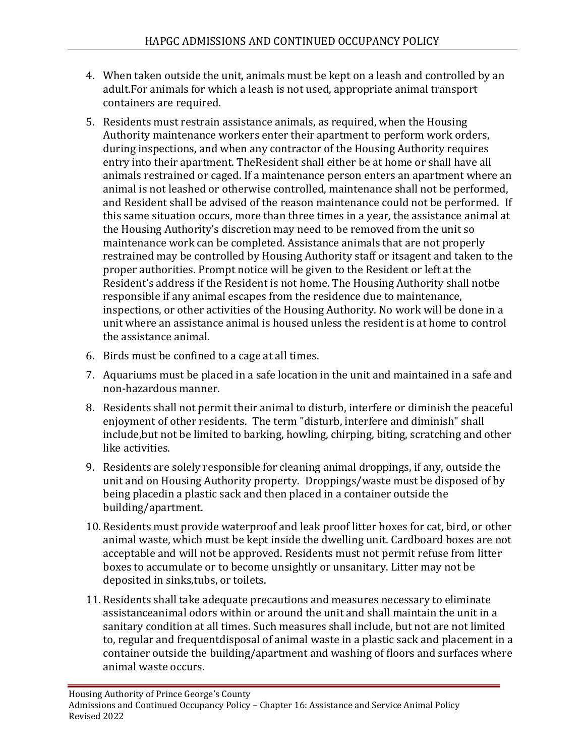- 4. When taken outside the unit, animals must be kept on a leash and controlled by an adult.For animals for which a leash is not used, appropriate animal transport containers are required.
- 5. Residents must restrain assistance animals, as required, when the Housing Authority maintenance workers enter their apartment to perform work orders, during inspections, and when any contractor of the Housing Authority requires entry into their apartment. TheResident shall either be at home or shall have all animals restrained or caged. If a maintenance person enters an apartment where an animal is not leashed or otherwise controlled, maintenance shall not be performed, and Resident shall be advised of the reason maintenance could not be performed. If this same situation occurs, more than three times in a year, the assistance animal at the Housing Authority's discretion may need to be removed from the unit so maintenance work can be completed. Assistance animals that are not properly restrained may be controlled by Housing Authority staff or itsagent and taken to the proper authorities. Prompt notice will be given to the Resident or left at the Resident's address if the Resident is not home. The Housing Authority shall notbe responsible if any animal escapes from the residence due to maintenance, inspections, or other activities of the Housing Authority. No work will be done in a unit where an assistance animal is housed unless the resident is at home to control the assistance animal.
- 6. Birds must be confined to a cage at all times.
- 7. Aquariums must be placed in a safe location in the unit and maintained in a safe and non-hazardous manner.
- 8. Residents shall not permit their animal to disturb, interfere or diminish the peaceful enjoyment of other residents. The term "disturb, interfere and diminish" shall include,but not be limited to barking, howling, chirping, biting, scratching and other like activities.
- 9. Residents are solely responsible for cleaning animal droppings, if any, outside the unit and on Housing Authority property. Droppings/waste must be disposed of by being placedin a plastic sack and then placed in a container outside the building/apartment.
- 10. Residents must provide waterproof and leak proof litter boxes for cat, bird, or other animal waste, which must be kept inside the dwelling unit. Cardboard boxes are not acceptable and will not be approved. Residents must not permit refuse from litter boxes to accumulate or to become unsightly or unsanitary. Litter may not be deposited in sinks,tubs, or toilets.
- 11. Residents shall take adequate precautions and measures necessary to eliminate assistanceanimal odors within or around the unit and shall maintain the unit in a sanitary condition at all times. Such measures shall include, but not are not limited to, regular and frequentdisposal of animal waste in a plastic sack and placement in a container outside the building/apartment and washing of floors and surfaces where animal waste occurs.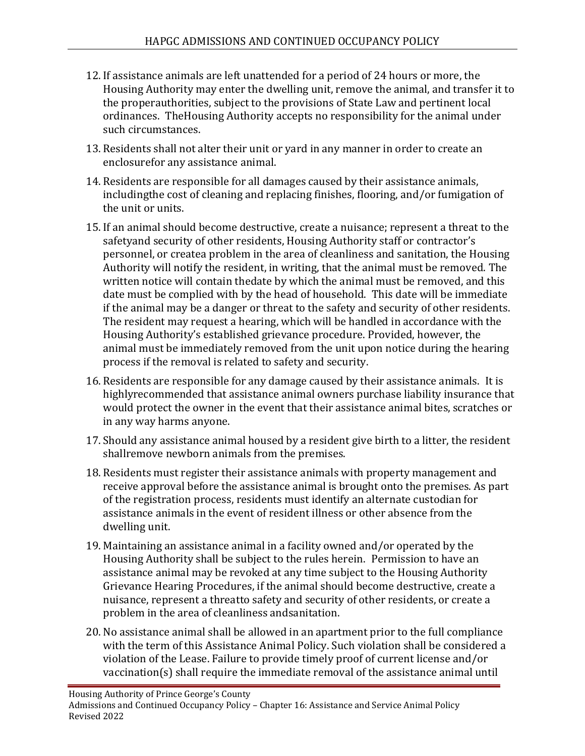- 12. If assistance animals are left unattended for a period of 24 hours or more, the Housing Authority may enter the dwelling unit, remove the animal, and transfer it to the properauthorities, subject to the provisions of State Law and pertinent local ordinances. TheHousing Authority accepts no responsibility for the animal under such circumstances.
- 13. Residents shall not alter their unit or yard in any manner in order to create an enclosurefor any assistance animal.
- 14. Residents are responsible for all damages caused by their assistance animals, includingthe cost of cleaning and replacing finishes, flooring, and/or fumigation of the unit or units.
- 15. If an animal should become destructive, create a nuisance; represent a threat to the safetyand security of other residents, Housing Authority staff or contractor's personnel, or createa problem in the area of cleanliness and sanitation, the Housing Authority will notify the resident, in writing, that the animal must be removed. The written notice will contain thedate by which the animal must be removed, and this date must be complied with by the head of household. This date will be immediate if the animal may be a danger or threat to the safety and security of other residents. The resident may request a hearing, which will be handled in accordance with the Housing Authority's established grievance procedure. Provided, however, the animal must be immediately removed from the unit upon notice during the hearing process if the removal is related to safety and security.
- 16. Residents are responsible for any damage caused by their assistance animals. It is highlyrecommended that assistance animal owners purchase liability insurance that would protect the owner in the event that their assistance animal bites, scratches or in any way harms anyone.
- 17. Should any assistance animal housed by a resident give birth to a litter, the resident shallremove newborn animals from the premises.
- 18. Residents must register their assistance animals with property management and receive approval before the assistance animal is brought onto the premises. As part of the registration process, residents must identify an alternate custodian for assistance animals in the event of resident illness or other absence from the dwelling unit.
- 19. Maintaining an assistance animal in a facility owned and/or operated by the Housing Authority shall be subject to the rules herein. Permission to have an assistance animal may be revoked at any time subject to the Housing Authority Grievance Hearing Procedures, if the animal should become destructive, create a nuisance, represent a threatto safety and security of other residents, or create a problem in the area of cleanliness andsanitation.
- 20. No assistance animal shall be allowed in an apartment prior to the full compliance with the term of this Assistance Animal Policy. Such violation shall be considered a violation of the Lease. Failure to provide timely proof of current license and/or vaccination(s) shall require the immediate removal of the assistance animal until